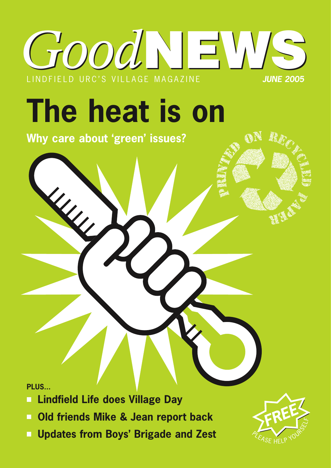

# **The heat is on**

**Why care about 'green' issues?**

**PLUS...**

- **Lindfield Life does Village Day**
- **Old friends Mike & Jean report back**
- **Updates from Boys' Brigade and Zest**



no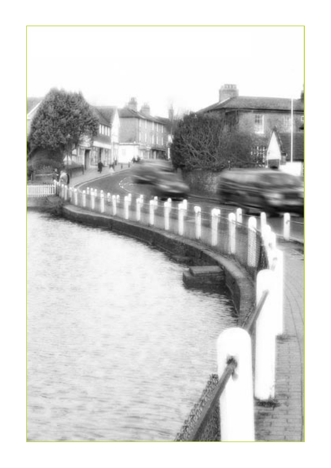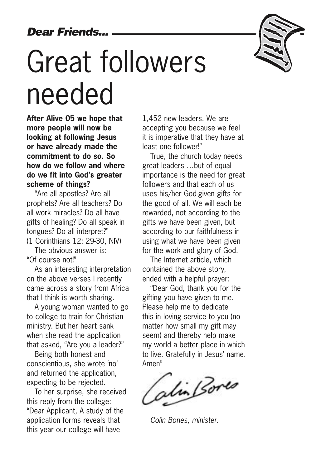Dear Friends...

# Great followers needed



**After Alive 05 we hope that more people will now be looking at following Jesus or have already made the commitment to do so. So how do we follow and where do we fit into God's greater scheme of things?** 

"Are all apostles? Are all prophets? Are all teachers? Do all work miracles? Do all have gifts of healing? Do all speak in tongues? Do all interpret?" (1 Corinthians 12: 29-30, NIV)

The obvious answer is: "Of course not!"

As an interesting interpretation on the above verses I recently came across a story from Africa that I think is worth sharing.

A young woman wanted to go to college to train for Christian ministry. But her heart sank when she read the application that asked, "Are you a leader?"

Being both honest and conscientious, she wrote 'no' and returned the application, expecting to be rejected.

To her surprise, she received this reply from the college: "Dear Applicant, A study of the application forms reveals that this year our college will have

1,452 new leaders. We are accepting you because we feel it is imperative that they have at least one follower!"

True, the church today needs great leaders …but of equal importance is the need for great followers and that each of us uses his/her God-given gifts for the good of all. We will each be rewarded, not according to the gifts we have been given, but according to our faithfulness in using what we have been given for the work and glory of God.

The Internet article, which contained the above story, ended with a helpful prayer:

"Dear God, thank you for the gifting you have given to me. Please help me to dedicate this in loving service to you (no matter how small my gift may seem) and thereby help make my world a better place in which to live. Gratefully in Jesus' name. Amen"

alin Bores

Colin Bones, minister.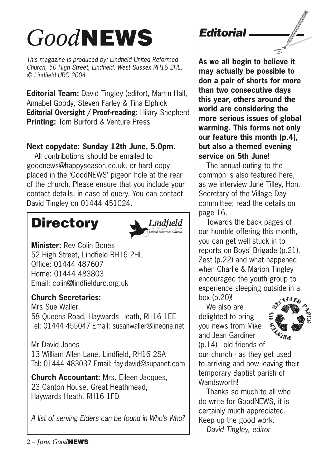# *Good*NEWS

This magazine is produced by: Lindfield United Reformed Church, 50 High Street, Lindfield, West Sussex RH16 2HL. © Lindfield URC 2004

**Editorial Team:** David Tingley (editor), Martin Hall, Annabel Goody, Steven Farley & Tina Elphick **Editorial Oversight / Proof-reading:** Hilary Shepherd **Printing:** Tom Burford & Venture Press

#### **Next copydate: Sunday 12th June, 5.0pm.**

All contributions should be emailed to goodnews@happyseason.co.uk, or hard copy placed in the 'GoodNEWS' pigeon hole at the rear of the church. Please ensure that you include your contact details, in case of query. You can contact David Tingley on 01444 451024.

# **Directory**



**Minister:** Rev Colin Bones 52 High Street, Lindfield RH16 2HL Office: 01444 487607 Home: 01444 483803 Email: colin@lindfieldurc.org.uk

#### **Church Secretaries:**

Mrs Sue Waller 58 Queens Road, Haywards Heath, RH16 1EE Tel: 01444 455047 Email: susanwaller@lineone.net

Mr David Jones 13 William Allen Lane, Lindfield, RH16 2SA Tel: 01444 483037 Email: fay-david@supanet.com

**Church Accountant:** Mrs. Eileen Jacques, 23 Canton House, Great Heathmead, Haywards Heath. RH16 1FD

A list of serving Elders can be found in Who's Who?

#### **Editorial**

**As we all begin to believe it may actually be possible to don a pair of shorts for more than two consecutive days this year, others around the world are considering the more serious issues of global warming. This forms not only our feature this month (p.4), but also a themed evening service on 5th June!** 

The annual outing to the common is also featured here, as we interview June Tilley, Hon. Secretary of the Village Day committee; read the details on page 16.

Towards the back pages of our humble offering this month, you can get well stuck in to reports on Boys' Brigade (p.21), Zest (p.22) and what happened when Charlie & Marion Tingley encouraged the youth group to experience sleeping outside in a box (p.20)! **CYCLE** 

We also are delighted to bring you news from Mike **EATH D** and Jean Gardiner (p.14) - old friends of our church - as they get used to arriving and now leaving their temporary Baptist parish of Wandsworth!

Thanks so much to all who do write for GoodNEWS, it is certainly much appreciated. Keep up the good work. David Tingley, editor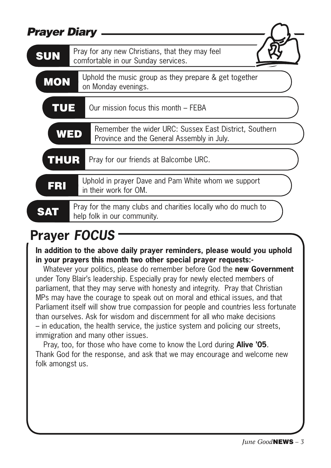### Prayer Diary

| Pray for any new Christians, that they may feel<br><b>SUN</b><br>comfortable in our Sunday services.               |
|--------------------------------------------------------------------------------------------------------------------|
| Uphold the music group as they prepare & get together<br><b>MON</b><br>on Monday evenings.                         |
| <b>TUE</b><br>Our mission focus this month – FFBA                                                                  |
| Remember the wider URC: Sussex East District, Southern<br><b>WED</b><br>Province and the General Assembly in July. |
| <b>THUR</b><br>Pray for our friends at Balcombe URC.                                                               |
| Uphold in prayer Dave and Pam White whom we support<br><b>FRI</b><br>in their work for OM.                         |
| Pray for the many clubs and charities locally who do much to<br>SAT<br>help folk in our community.                 |

## **Prayer FOCUS**

#### **In addition to the above daily prayer reminders, please would you uphold in your prayers this month two other special prayer requests:-**

Whatever your politics, please do remember before God the **new Government** under Tony Blair's leadership. Especially pray for newly elected members of parliament, that they may serve with honesty and integrity. Pray that Christian MPs may have the courage to speak out on moral and ethical issues, and that Parliament itself will show true compassion for people and countries less fortunate than ourselves. Ask for wisdom and discernment for all who make decisions – in education, the health service, the justice system and policing our streets, immigration and many other issues.

Pray, too, for those who have come to know the Lord during **Alive '05**. Thank God for the response, and ask that we may encourage and welcome new folk amongst us.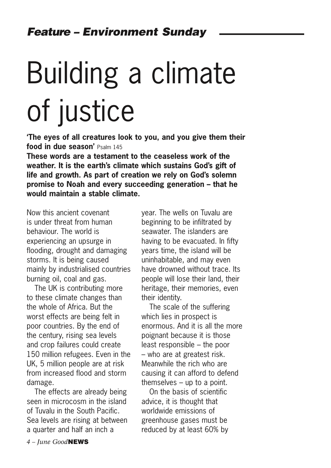# Building a climate of justice

**'The eyes of all creatures look to you, and you give them their food in due season'** Psalm 145

**These words are a testament to the ceaseless work of the weather. It is the earth's climate which sustains God's gift of life and growth. As part of creation we rely on God's solemn promise to Noah and every succeeding generation – that he would maintain a stable climate.**

Now this ancient covenant is under threat from human behaviour. The world is experiencing an upsurge in flooding, drought and damaging storms. It is being caused mainly by industrialised countries burning oil, coal and gas.

The UK is contributing more to these climate changes than the whole of Africa. But the worst effects are being felt in poor countries. By the end of the century, rising sea levels and crop failures could create 150 million refugees. Even in the UK, 5 million people are at risk from increased flood and storm damage.

The effects are already being seen in microcosm in the island of Tuvalu in the South Pacific. Sea levels are rising at between a quarter and half an inch a

year. The wells on Tuvalu are beginning to be infiltrated by seawater. The islanders are having to be evacuated. In fifty years time, the island will be uninhabitable, and may even have drowned without trace. Its people will lose their land, their heritage, their memories, even their identity.

The scale of the suffering which lies in prospect is enormous. And it is all the more poignant because it is those least responsible – the poor – who are at greatest risk. Meanwhile the rich who are causing it can afford to defend themselves – up to a point.

On the basis of scientific advice, it is thought that worldwide emissions of greenhouse gases must be reduced by at least 60% by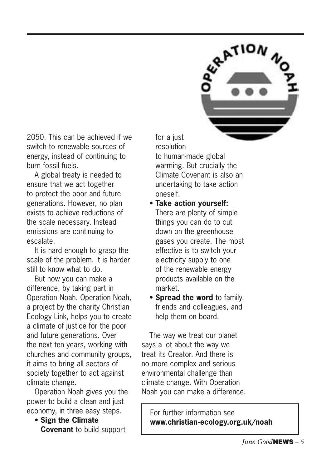2050. This can be achieved if we switch to renewable sources of energy, instead of continuing to burn fossil fuels.

A global treaty is needed to ensure that we act together to protect the poor and future generations. However, no plan exists to achieve reductions of the scale necessary. Instead emissions are continuing to escalate.

It is hard enough to grasp the scale of the problem. It is harder still to know what to do.

But now you can make a difference, by taking part in Operation Noah. Operation Noah, a project by the charity Christian Ecology Link, helps you to create a climate of justice for the poor and future generations. Over the next ten years, working with churches and community groups, it aims to bring all sectors of society together to act against climate change.

Operation Noah gives you the power to build a clean and just economy, in three easy steps.

• **Sign the Climate Covenant** to build support for a just resolution to human-made global warming. But crucially the Climate Covenant is also an undertaking to take action oneself.

RATION

- **Take action yourself:** There are plenty of simple things you can do to cut down on the greenhouse gases you create. The most effective is to switch your electricity supply to one of the renewable energy products available on the market.
- **Spread the word** to family, friends and colleagues, and help them on board.

The way we treat our planet says a lot about the way we treat its Creator. And there is no more complex and serious environmental challenge than climate change. With Operation Noah you can make a difference.

For further information see **www.christian-ecology.org.uk/noah**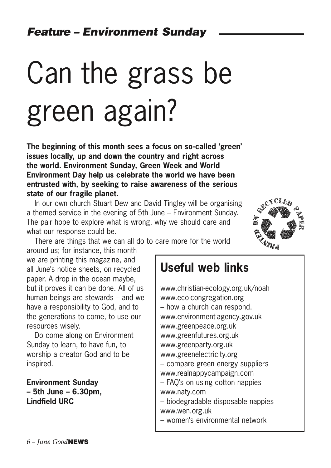# Can the grass be green again?

**The beginning of this month sees a focus on so-called 'green' issues locally, up and down the country and right across the world. Environment Sunday, Green Week and World Environment Day help us celebrate the world we have been entrusted with, by seeking to raise awareness of the serious state of our fragile planet.** 

In our own church Stuart Dew and David Tingley will be organising a themed service in the evening of 5th June – Environment Sunday. The pair hope to explore what is wrong, why we should care and what our response could be.

There are things that we can all do to care more for the world

around us; for instance, this month we are printing this magazine, and all June's notice sheets, on recycled paper. A drop in the ocean maybe, but it proves it can be done. All of us human beings are stewards – and we have a responsibility to God, and to the generations to come, to use our resources wisely.

Do come along on Environment Sunday to learn, to have fun, to worship a creator God and to be inspired.

**Environment Sunday – 5th June – 6.30pm, Lindfield URC**

## **Useful web links**

www.christian-ecology.org.uk/noah www.eco-congregation.org – how a church can respond. www.environment-agency.gov.uk www.greenpeace.org.uk www.greenfutures.org.uk www.greenparty.org.uk www.greenelectricity.org – compare green energy suppliers www.realnappycampaign.com – FAQ's on using cotton nappies www.naty.com – biodegradable disposable nappies www.wen.org.uk – women's environmental network

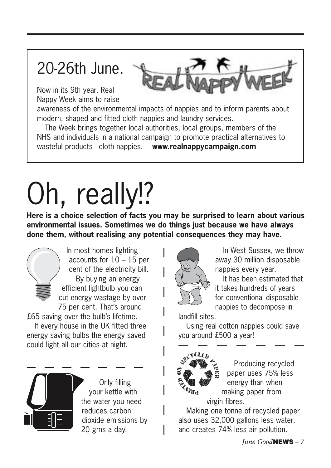# 20-26th June.



Now in its 9th year, Real Nappy Week aims to raise

awareness of the environmental impacts of nappies and to inform parents about modern, shaped and fitted cloth nappies and laundry services.

The Week brings together local authorities, local groups, members of the NHS and individuals in a national campaign to promote practical alternatives to wasteful products - cloth nappies. **www.realnappycampaign.com**

# Oh, really!?

**Here is a choice selection of facts you may be surprised to learn about various environmental issues. Sometimes we do things just because we have always done them, without realising any potential consequences they may have.**

In most homes lighting accounts for 10 – 15 per cent of the electricity bill. By buying an energy efficient lightbulb you can cut energy wastage by over 75 per cent. That's around

£65 saving over the bulb's lifetime.

If every house in the UK fitted three energy saving bulbs the energy saved could light all our cities at night.



Only filling your kettle with the water you need reduces carbon dioxide emissions by 20 gms a day!



In West Sussex, we throw away 30 million disposable nappies every year.

It has been estimated that it takes hundreds of years for conventional disposable nappies to decompose in

landfill sites.

Using real cotton nappies could save you around £500 a year!



Producing recycled paper uses 75% less energy than when making paper from virgin fibres.

Making one tonne of recycled paper also uses 32,000 gallons less water, and creates 74% less air pollution.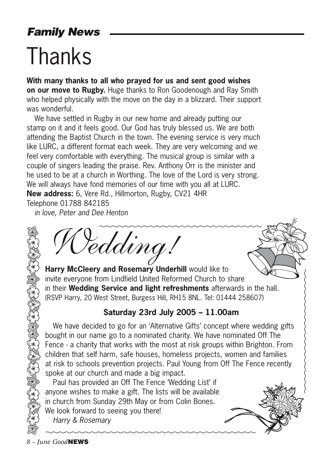## Family News

# Thanks

**With many thanks to all who prayed for us and sent good wishes on our move to Rugby.** Huge thanks to Ron Goodenough and Ray Smith who helped physically with the move on the day in a blizzard. Their support was wonderful

We have settled in Rugby in our new home and already putting our stamp on it and it feels good. Our God has truly blessed us. We are both attending the Baptist Church in the town. The evening service is very much like LURC, a different format each week. They are very welcoming and we feel very comfortable with everything. The musical group is similar with a couple of singers leading the praise. Rev. Anthony Orr is the minister and he used to be at a church in Worthing. The love of the Lord is very strong. We will always have fond memories of our time with you all at LURC. **New address:** 6, Vere Rd., Hillmorton, Rugby, CV21 4HR

Telephone 01788 842185

in love, Peter and Dee Henton

Wedding!

**Harry McCleery and Rosemary Underhill** would like to invite everyone from Lindfield United Reformed Church to share in their **Wedding Service and light refreshments** afterwards in the hall. (RSVP Harry, 20 West Street, Burgess Hill, RH15 8NL. Tel: 01444 258607)

#### **Saturday 23rd July 2005 – 11.00am**

We have decided to go for an 'Alternative Gifts' concept where wedding gifts bought in our name go to a nominated charity. We have nominated Off The Fence - a charity that works with the most at risk groups within Brighton. From children that self harm, safe houses, homeless projects, women and families at risk to schools prevention projects. Paul Young from Off The Fence recently spoke at our church and made a big impact.

Paul has provided an Off The Fence 'Wedding List' if anyone wishes to make a gift. The lists will be available in church from Sunday 29th May or from Colin Bones. We look forward to seeing you there! Harry & Rosemary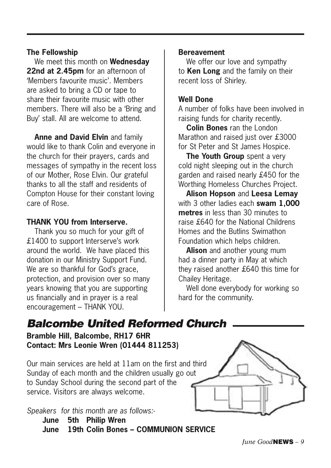#### **The Fellowship**

We meet this month on **Wednesday**  22nd at 2.45pm for an afternoon of 'Members favourite music'. Members are asked to bring a CD or tape to share their favourite music with other members. There will also be a 'Bring and Buy' stall. All are welcome to attend.

**Anne and David Elvin** and family would like to thank Colin and everyone in the church for their prayers, cards and messages of sympathy in the recent loss of our Mother, Rose Elvin. Our grateful thanks to all the staff and residents of Compton House for their constant loving care of Rose.

#### **THANK YOU from Interserve.**

Thank you so much for your gift of £1400 to support Interserve's work around the world. We have placed this donation in our Ministry Support Fund. We are so thankful for God's grace, protection, and provision over so many years knowing that you are supporting us financially and in prayer is a real encouragement – THANK YOU.

#### **Bereavement**

We offer our love and sympathy to **Ken Long** and the family on their recent loss of Shirley.

#### **Well Done**

A number of folks have been involved in raising funds for charity recently.

**Colin Bones** ran the London Marathon and raised just over £3000 for St Peter and St James Hospice.

**The Youth Group** spent a very cold night sleeping out in the church garden and raised nearly £450 for the Worthing Homeless Churches Project.

**Alison Hopson** and **Leesa Lemay**  with 3 other ladies each **swam 1,000 metres** in less than 30 minutes to raise £640 for the National Childrens Homes and the Butlins Swimathon Foundation which helps children.

**Alison** and another young mum had a dinner party in May at which they raised another £640 this time for Chailey Heritage.

Well done everybody for working so hard for the community.

### Balcombe United Reformed Church

**Bramble Hill, Balcombe, RH17 6HR Contact: Mrs Leonie Wren (01444 811253)**

Our main services are held at 11am on the first and third Sunday of each month and the children usually go out to Sunday School during the second part of the service. Visitors are always welcome.

Speakers for this month are as follows:-  **June 5th Philip Wren June 19th Colin Bones – COMMUNION SERVICE**

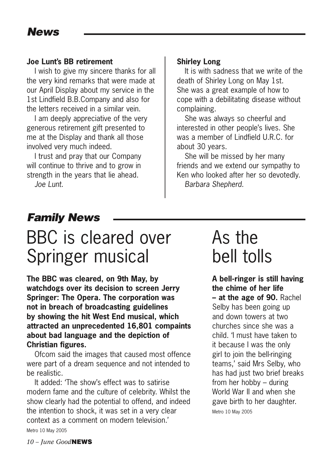#### News

#### **Joe Lunt's BB retirement**

I wish to give my sincere thanks for all the very kind remarks that were made at our April Display about my service in the 1st Lindfield B.B.Company and also for the letters received in a similar vein.

I am deeply appreciative of the very generous retirement gift presented to me at the Display and thank all those involved very much indeed.

I trust and pray that our Company will continue to thrive and to grow in strength in the years that lie ahead. Joe Lunt.

#### **Shirley Long**

It is with sadness that we write of the death of Shirley Long on May 1st. She was a great example of how to cope with a debilitating disease without complaining.

She was always so cheerful and interested in other people's lives. She was a member of Lindfield U.R.C. for about 30 years.

She will be missed by her many friends and we extend our sympathy to Ken who looked after her so devotedly. Barbara Shepherd.

### Family News

# BBC is cleared over Springer musical

**The BBC was cleared, on 9th May, by watchdogs over its decision to screen Jerry Springer: The Opera. The corporation was not in breach of broadcasting guidelines by showing the hit West End musical, which attracted an unprecedented 16,801 compaints about bad language and the depiction of Christian figures.** 

Ofcom said the images that caused most offence were part of a dream sequence and not intended to be realistic.

It added: 'The show's effect was to satirise modern fame and the culture of celebrity. Whilst the show clearly had the potential to offend, and indeed the intention to shock, it was set in a very clear context as a comment on modern television.' Metro 10 May 2005

# As the bell tolls

**A bell-ringer is still having the chime of her life – at the age of 90.** Rachel Selby has been going up and down towers at two churches since she was a child. 'I must have taken to it because I was the only girl to join the bell-ringing teams,' said Mrs Selby, who has had just two brief breaks from her hobby – during World War II and when she gave birth to her daughter. Metro 10 May 2005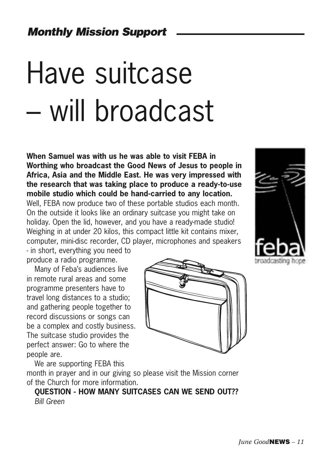### Monthly Mission Support

# Have suitcase – will broadcast

**When Samuel was with us he was able to visit FEBA in Worthing who broadcast the Good News of Jesus to people in Africa, Asia and the Middle East. He was very impressed with the research that was taking place to produce a ready-to-use mobile studio which could be hand-carried to any location.**  Well, FEBA now produce two of these portable studios each month. On the outside it looks like an ordinary suitcase you might take on holiday. Open the lid, however, and you have a ready-made studio! Weighing in at under 20 kilos, this compact little kit contains mixer, computer, mini-disc recorder, CD player, microphones and speakers

- in short, everything you need to produce a radio programme.

Many of Feba's audiences live in remote rural areas and some programme presenters have to travel long distances to a studio; and gathering people together to record discussions or songs can be a complex and costly business. The suitcase studio provides the perfect answer: Go to where the people are.

We are supporting FEBA this

month in prayer and in our giving so please visit the Mission corner of the Church for more information.

**QUESTION - HOW MANY SUITCASES CAN WE SEND OUT??** Bill Green



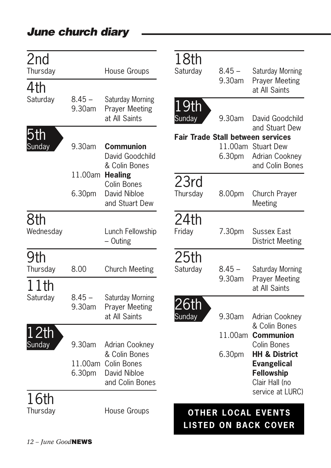### June church diary

| 2nd<br>Thursday  |                    | House Groups                                               | 18th<br>Saturday                         | $8.45 -$           | Saturday Morning                                                             |
|------------------|--------------------|------------------------------------------------------------|------------------------------------------|--------------------|------------------------------------------------------------------------------|
| 4th              |                    |                                                            |                                          | 9.30am             | <b>Prayer Meeting</b><br>at All Saints                                       |
| Saturday         | $8.45 -$<br>9.30am | Saturday Morning<br><b>Prayer Meeting</b><br>at All Saints | 19th<br>Sunday                           | 9.30am             | David Goodchild                                                              |
| 5th              |                    |                                                            |                                          |                    | and Stuart Dew                                                               |
| Sunday           | 9.30am             | Communion<br>David Goodchild<br>& Colin Bones              | <b>Fair Trade Stall between services</b> | 6.30pm             | 11.00am Stuart Dew<br>Adrian Cookney<br>and Colin Bones                      |
|                  | 11.00am            | <b>Healing</b><br>Colin Bones                              | 23rd                                     |                    |                                                                              |
|                  | 6.30pm             | David Nibloe<br>and Stuart Dew                             | Thursday                                 | 8.00pm             | Church Prayer<br>Meeting                                                     |
| 8th              |                    |                                                            | 24th                                     |                    |                                                                              |
| Wednesday        |                    | Lunch Fellowship<br>- Outing                               | Friday                                   | 7.30pm             | <b>Sussex East</b><br><b>District Meeting</b>                                |
| 9th              |                    |                                                            | 25th                                     |                    |                                                                              |
| Thursday<br>11th | 8.00               | <b>Church Meeting</b>                                      | Saturday                                 | $8.45 -$<br>9.30am | Saturday Morning<br><b>Prayer Meeting</b><br>at All Saints                   |
| Saturday         | $8.45 -$<br>9.30am | Saturday Morning<br><b>Prayer Meeting</b><br>at All Saints | 26th<br>Sunday                           | 9.30am             | Adrian Cookney                                                               |
| .2th             |                    |                                                            |                                          | 11.00am            | & Colin Bones<br><b>Communion</b>                                            |
| Sunday           | 9.30am             | Adrian Cookney<br>& Colin Bones                            |                                          | 6.30pm             | Colin Bones<br><b>HH &amp; District</b>                                      |
|                  | 6.30pm             | 11.00am Colin Bones<br>David Nibloe<br>and Colin Bones     |                                          |                    | <b>Evangelical</b><br><b>Fellowship</b><br>Clair Hall (no                    |
| 16th<br>Thursday |                    | House Groups                                               |                                          |                    | service at LURC)<br><b>OTHER LOCAL EVENTS</b><br><b>LISTED ON BACK COVER</b> |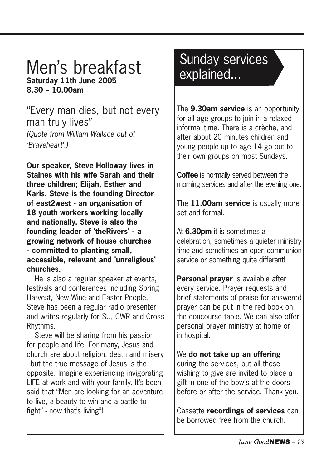### Men's breakfast **Saturday 11th June 2005 8.30 – 10.00am**

"Every man dies, but not every man truly lives" (Quote from William Wallace out of 'Braveheart'.)

**Our speaker, Steve Holloway lives in Staines with his wife Sarah and their three children; Elijah, Esther and Karis. Steve is the founding Director of east2west - an organisation of 18 youth workers working locally and nationally. Steve is also the founding leader of 'theRivers' - a growing network of house churches - committed to planting small, accessible, relevant and 'unreligious' churches.**

He is also a regular speaker at events, festivals and conferences including Spring Harvest, New Wine and Easter People. Steve has been a regular radio presenter and writes regularly for SU, CWR and Cross Rhythms.

Steve will be sharing from his passion for people and life. For many, Jesus and church are about religion, death and misery - but the true message of Jesus is the opposite. Imagine experiencing invigorating LIFE at work and with your family. It's been said that "Men are looking for an adventure to live, a beauty to win and a battle to fight" - now that's living"!

### Sunday services explained...

The **9.30am service** is an opportunity for all age groups to join in a relaxed informal time. There is a crèche, and after about 20 minutes children and young people up to age 14 go out to their own groups on most Sundays.

**Coffee** is normally served between the morning services and after the evening one.

The **11.00am service** is usually more set and formal.

At **6.30pm** it is sometimes a celebration, sometimes a quieter ministry time and sometimes an open communion service or something quite different!

**Personal prayer** is available after every service. Prayer requests and brief statements of praise for answered prayer can be put in the red book on the concourse table. We can also offer personal prayer ministry at home or in hospital.

We **do not take up an offering** during the services, but all those wishing to give are invited to place a gift in one of the bowls at the doors before or after the service. Thank you.

Cassette **recordings of services** can be borrowed free from the church.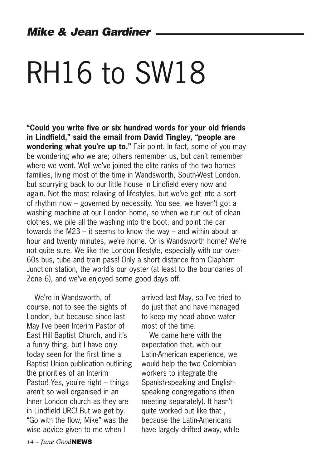# RH16 to SW18

**"Could you write five or six hundred words for your old friends in Lindfield," said the email from David Tingley, "people are wondering what you're up to."** Fair point. In fact, some of you may be wondering who we are; others remember us, but can't remember where we went. Well we've joined the elite ranks of the two homes families, living most of the time in Wandsworth, South-West London, but scurrying back to our little house in Lindfield every now and again. Not the most relaxing of lifestyles, but we've got into a sort of rhythm now – governed by necessity. You see, we haven't got a washing machine at our London home, so when we run out of clean clothes, we pile all the washing into the boot, and point the car towards the M23 – it seems to know the way – and within about an hour and twenty minutes, we're home. Or is Wandsworth home? We're not quite sure. We like the London lifestyle, especially with our over-60s bus, tube and train pass! Only a short distance from Clapham Junction station, the world's our oyster (at least to the boundaries of Zone 6), and we've enjoyed some good days off.

We're in Wandsworth, of course, not to see the sights of London, but because since last May I've been Interim Pastor of East Hill Baptist Church, and it's a funny thing, but I have only today seen for the first time a Baptist Union publication outlining the priorities of an Interim Pastor! Yes, you're right – things aren't so well organised in an Inner London church as they are in Lindfield URC! But we get by. "Go with the flow, Mike" was the wise advice given to me when I

arrived last May, so I've tried to do just that and have managed to keep my head above water most of the time.

We came here with the expectation that, with our Latin-American experience, we would help the two Colombian workers to integrate the Spanish-speaking and Englishspeaking congregations (then meeting separately). It hasn't quite worked out like that , because the Latin-Americans have largely drifted away, while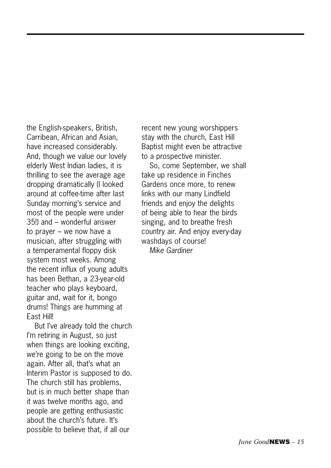the English-speakers, British, Carribean, African and Asian, have increased considerably. And, though we value our lovely elderly West Indian ladies, it is thrilling to see the average age dropping dramatically (I looked around at coffee-time after last Sunday morning's service and most of the people were under 35!) and – wonderful answer to prayer – we now have a musician, after struggling with a temperamental floppy disk system most weeks. Among the recent influx of young adults has been Bethan, a 23-year-old teacher who plays keyboard, guitar and, wait for it, bongo drums! Things are humming at East Hill!

But I've already told the church I'm retiring in August, so just when things are looking exciting, we're going to be on the move again. After all, that's what an Interim Pastor is supposed to do. The church still has problems, but is in much better shape than it was twelve months ago, and people are getting enthusiastic about the church's future. It's possible to believe that, if all our

recent new young worshippers stay with the church, East Hill Baptist might even be attractive to a prospective minister.

So, come September, we shall take up residence in Finches Gardens once more, to renew links with our many Lindfield friends and enjoy the delights of being able to hear the birds singing, and to breathe fresh country air. And enjoy every-day washdays of course! Mike Gardiner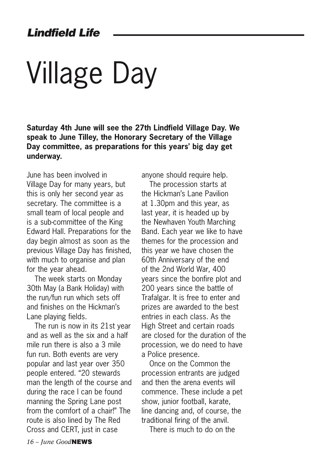### Lindfield Life

# Village Day

#### **Saturday 4th June will see the 27th Lindfield Village Day. We speak to June Tilley, the Honorary Secretary of the Village Day committee, as preparations for this years' big day get underway.**

June has been involved in Village Day for many years, but this is only her second year as secretary. The committee is a small team of local people and is a sub-committee of the King Edward Hall. Preparations for the day begin almost as soon as the previous Village Day has finished, with much to organise and plan for the year ahead.

The week starts on Monday 30th May (a Bank Holiday) with the run/fun run which sets off and finishes on the Hickman's Lane playing fields.

The run is now in its 21st year and as well as the six and a half mile run there is also a 3 mile fun run. Both events are very popular and last year over 350 people entered. "20 stewards man the length of the course and during the race I can be found manning the Spring Lane post from the comfort of a chair!" The route is also lined by The Red Cross and CERT, just in case

anyone should require help.

The procession starts at the Hickman's Lane Pavilion at 1.30pm and this year, as last year, it is headed up by the Newhaven Youth Marching Band. Each year we like to have themes for the procession and this year we have chosen the 60th Anniversary of the end of the 2nd World War, 400 years since the bonfire plot and 200 years since the battle of Trafalgar. It is free to enter and prizes are awarded to the best entries in each class. As the High Street and certain roads are closed for the duration of the procession, we do need to have a Police presence.

Once on the Common the procession entrants are judged and then the arena events will commence. These include a pet show, junior football, karate, line dancing and, of course, the traditional firing of the anvil.

There is much to do on the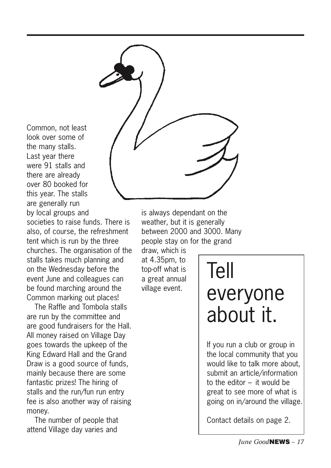

Common, not least look over some of the many stalls. Last year there were 91 stalls and there are already over 80 booked for this year. The stalls are generally run by local groups and

societies to raise funds. There is also, of course, the refreshment tent which is run by the three churches. The organisation of the stalls takes much planning and on the Wednesday before the event June and colleagues can be found marching around the Common marking out places!

The Raffle and Tombola stalls are run by the committee and are good fundraisers for the Hall. All money raised on Village Day goes towards the upkeep of the King Edward Hall and the Grand Draw is a good source of funds, mainly because there are some fantastic prizes! The hiring of stalls and the run/fun run entry fee is also another way of raising money.

The number of people that attend Village day varies and

is always dependant on the weather, but it is generally between 2000 and 3000. Many people stay on for the grand

draw, which is at 4.35pm, to top-off what is a great annual village event.

# Tell everyone about it.

If you run a club or group in the local community that you would like to talk more about, submit an article/information to the editor – it would be great to see more of what is going on in/around the village.

Contact details on page 2.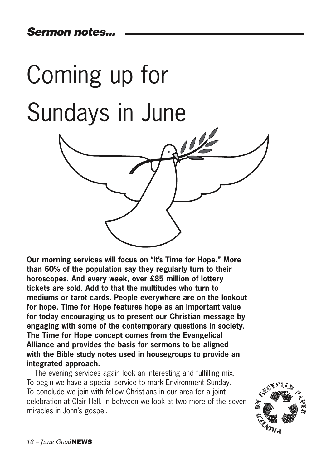# Coming up for Sundays in June



**Our morning services will focus on "It's Time for Hope." More than 60% of the population say they regularly turn to their horoscopes. And every week, over £85 million of lottery tickets are sold. Add to that the multitudes who turn to mediums or tarot cards. People everywhere are on the lookout for hope. Time for Hope features hope as an important value for today encouraging us to present our Christian message by engaging with some of the contemporary questions in society. The Time for Hope concept comes from the Evangelical Alliance and provides the basis for sermons to be aligned with the Bible study notes used in housegroups to provide an integrated approach.**

The evening services again look an interesting and fulfilling mix. To begin we have a special service to mark Environment Sunday. To conclude we join with fellow Christians in our area for a joint celebration at Clair Hall. In between we look at two more of the seven miracles in John's gospel.

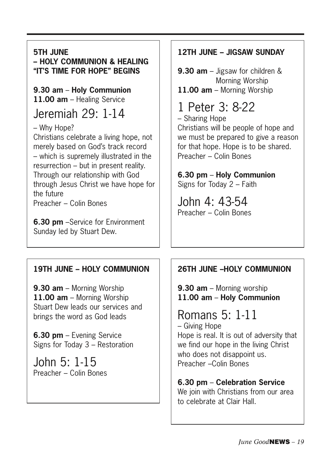**5TH JUNE – HOLY COMMUNION & HEALING "IT'S TIME FOR HOPE" BEGINS**

**9.30 am** – **Holy Communion 11.00 am** – Healing Service

### Jeremiah 29: 1-14

– Why Hope?

Christians celebrate a living hope, not merely based on God's track record – which is supremely illustrated in the resurrection – but in present reality. Through our relationship with God through Jesus Christ we have hope for the future

Preacher – Colin Bones

**6.30 pm** –Service for Environment Sunday led by Stuart Dew.

#### **12TH JUNE – JIGSAW SUNDAY**

**9.30 am** – Jigsaw for children & Morning Worship **11.00 am** – Morning Worship

## 1 Peter 3: 8-22

– Sharing Hope Christians will be people of hope and we must be prepared to give a reason for that hope. Hope is to be shared. Preacher – Colin Bones

#### **6.30 pm** – **Holy Communion**

Signs for Today 2 – Faith

John 4: 43-54 Preacher – Colin Bones

#### **19TH JUNE – HOLY COMMUNION**

**9.30 am** – Morning Worship **11.00 am** – Morning Worship Stuart Dew leads our services and brings the word as God leads

**6.30 pm** – Evening Service Signs for Today 3 – Restoration

John 5: 1-15 Preacher – Colin Bones

#### **26TH JUNE –HOLY COMMUNION**

**9.30 am** – Morning worship **11.00 am** – **Holy Communion**

### Romans 5: 1-11

– Giving Hope Hope is real. It is out of adversity that we find our hope in the living Christ who does not disappoint us. Preacher –Colin Bones

#### **6.30 pm** – **Celebration Service**

We join with Christians from our area to celebrate at Clair Hall.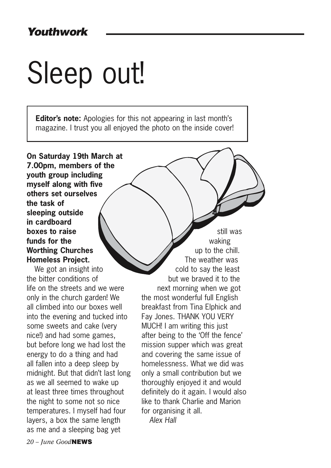# Sleep out!

**Editor's note:** Apologies for this not appearing in last month's magazine. I trust you all enjoyed the photo on the inside cover!

**On Saturday 19th March at 7.00pm, members of the youth group including myself along with five others set ourselves the task of sleeping outside in cardboard boxes to raise funds for the Worthing Churches Homeless Project.**

We got an insight into the bitter conditions of life on the streets and we were only in the church garden! We all climbed into our boxes well into the evening and tucked into some sweets and cake (very nice!) and had some games, but before long we had lost the energy to do a thing and had all fallen into a deep sleep by midnight. But that didn't last long as we all seemed to wake up at least three times throughout the night to some not so nice temperatures. I myself had four layers, a box the same length as me and a sleeping bag yet

waking up to the chill. The weather was cold to say the least but we braved it to the next morning when we got the most wonderful full English breakfast from Tina Elphick and Fay Jones. THANK YOU VERY MUCH! I am writing this just after being to the 'Off the fence' mission supper which was great and covering the same issue of homelessness. What we did was only a small contribution but we thoroughly enjoyed it and would definitely do it again. I would also like to thank Charlie and Marion for organising it all. Alex Hall

still was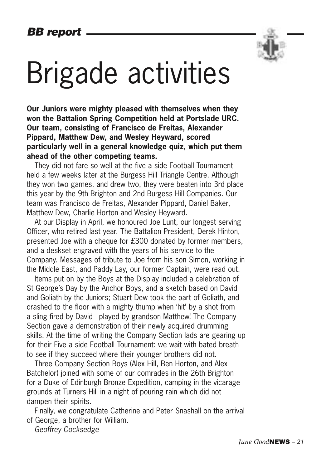

# Brigade activities

**Our Juniors were mighty pleased with themselves when they won the Battalion Spring Competition held at Portslade URC. Our team, consisting of Francisco de Freitas, Alexander Pippard, Matthew Dew, and Wesley Heyward, scored particularly well in a general knowledge quiz, which put them ahead of the other competing teams.** 

They did not fare so well at the five a side Football Tournament held a few weeks later at the Burgess Hill Triangle Centre. Although they won two games, and drew two, they were beaten into 3rd place this year by the 9th Brighton and 2nd Burgess Hill Companies. Our team was Francisco de Freitas, Alexander Pippard, Daniel Baker, Matthew Dew, Charlie Horton and Wesley Heyward.

At our Display in April, we honoured Joe Lunt, our longest serving Officer, who retired last year. The Battalion President, Derek Hinton, presented Joe with a cheque for £300 donated by former members, and a deskset engraved with the years of his service to the Company. Messages of tribute to Joe from his son Simon, working in the Middle East, and Paddy Lay, our former Captain, were read out.

Items put on by the Boys at the Display included a celebration of St George's Day by the Anchor Boys, and a sketch based on David and Goliath by the Juniors; Stuart Dew took the part of Goliath, and crashed to the floor with a mighty thump when 'hit' by a shot from a sling fired by David - played by grandson Matthew! The Company Section gave a demonstration of their newly acquired drumming skills. At the time of writing the Company Section lads are gearing up for their Five a side Football Tournament: we wait with bated breath to see if they succeed where their younger brothers did not.

Three Company Section Boys (Alex Hill, Ben Horton, and Alex Batchelor) joined with some of our comrades in the 26th Brighton for a Duke of Edinburgh Bronze Expedition, camping in the vicarage grounds at Turners Hill in a night of pouring rain which did not dampen their spirits.

Finally, we congratulate Catherine and Peter Snashall on the arrival of George, a brother for William.

Geoffrey Cocksedge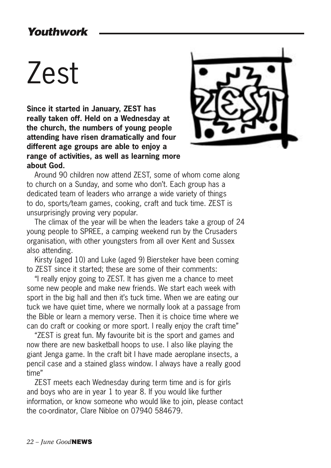### Youthwork

# Zest

**Since it started in January, ZEST has really taken off. Held on a Wednesday at the church, the numbers of young people attending have risen dramatically and four different age groups are able to enjoy a range of activities, as well as learning more about God.**



Around 90 children now attend ZEST, some of whom come along to church on a Sunday, and some who don't. Each group has a dedicated team of leaders who arrange a wide variety of things to do, sports/team games, cooking, craft and tuck time. ZEST is unsurprisingly proving very popular.

The climax of the year will be when the leaders take a group of 24 young people to SPREE, a camping weekend run by the Crusaders organisation, with other youngsters from all over Kent and Sussex also attending.

Kirsty (aged 10) and Luke (aged 9) Biersteker have been coming to ZEST since it started; these are some of their comments:

"I really enjoy going to ZEST. It has given me a chance to meet some new people and make new friends. We start each week with sport in the big hall and then it's tuck time. When we are eating our tuck we have quiet time, where we normally look at a passage from the Bible or learn a memory verse. Then it is choice time where we can do craft or cooking or more sport. I really enjoy the craft time"

"ZEST is great fun. My favourite bit is the sport and games and now there are new basketball hoops to use. I also like playing the giant Jenga game. In the craft bit I have made aeroplane insects, a pencil case and a stained glass window. I always have a really good time"

ZEST meets each Wednesday during term time and is for girls and boys who are in year 1 to year 8. If you would like further information, or know someone who would like to join, please contact the co-ordinator, Clare Nibloe on 07940 584679.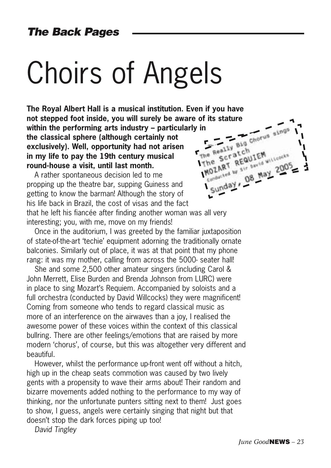# Choirs of Angels

**The Royal Albert Hall is a musical institution. Even if you have not stepped foot inside, you will surely be aware of its stature within the performing arts industry – particularly in the classical sphere (although certainly not exclusively)**  $M_{\text{cell}}$  **and the contraining of the statute within the performing arts industry – particularly in the classical sphere (although certainly not exclusively). Well, opportunity had not arisen**  scratch REQUIEM **in my life to pay the 19th century musical round-house a visit, until last month.** 

Sunday , 08 May 2005 A rather spontaneous decision led to me propping up the theatre bar, supping Guiness and getting to know the barman! Although the story of his life back in Brazil, the cost of visas and the fact that he left his fiancée after finding another woman was all very interesting; you, with me, move on my friends!

Once in the auditorium, I was greeted by the familiar juxtaposition of state-of-the-art 'techie' equipment adorning the traditionally ornate balconies. Similarly out of place, it was at that point that my phone rang: it was my mother, calling from across the 5000- seater hall!

She and some 2,500 other amateur singers (including Carol & John Merrett, Elise Burden and Brenda Johnson from LURC) were in place to sing Mozart's Requiem. Accompanied by soloists and a full orchestra (conducted by David Willcocks) they were magnificent! Coming from someone who tends to regard classical music as more of an interference on the airwaves than a joy, I realised the awesome power of these voices within the context of this classical bullring. There are other feelings/emotions that are raised by more modern 'chorus', of course, but this was altogether very different and beautiful.

However, whilst the performance up-front went off without a hitch, high up in the cheap seats commotion was caused by two lively gents with a propensity to wave their arms about! Their random and bizarre movements added nothing to the performance to my way of thinking, nor the unfortunate punters sitting next to them! Just goes to show, I guess, angels were certainly singing that night but that doesn't stop the dark forces piping up too!

David Tingley

EQUIEM<br>Sir David Wilsocks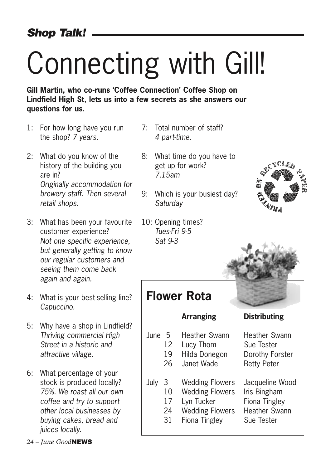# Connecting with Gill!

**Gill Martin, who co-runs 'Coffee Connection' Coffee Shop on Lindfield High St, lets us into a few secrets as she answers our questions for us.**

- 1: For how long have you run the shop? 7 years.
- 2: What do you know of the history of the building you are in? Originally accommodation for brewery staff. Then several retail shops.
- 3: What has been your favourite customer experience? Not one specific experience, but generally getting to know our regular customers and seeing them come back again and again.
- 4: What is your best-selling line? Capuccino.
- 5: Why have a shop in Lindfield? Thriving commercial High Street in a historic and attractive village.
- 6: What percentage of your stock is produced locally? 75%. We roast all our own coffee and try to support other local businesses by buying cakes, bread and juices locally.
- 7: Total number of staff? 4 part-time.
- 8: What time do you have to get up for work? 7.15am
- 9: Which is your busiest day? **Saturday**
- 10: Opening times? Tues-Fri 9-5 Sat 9-3





### **Flower Rota**

#### **Arranging Distributing**

- 12 Lucy Thom Sue Tester
- 19 Hilda Donegon Dorothy Forster
- 26 Janet Wade Betty Peter
- 
- -
	-
	-
	- 31 Fiona Tingley Sue Tester
- June 5 Heather Swann Heather Swann
- July 3 Wedding Flowers Jacqueline Wood 10 Wedding Flowers Iris Bingham 17 Lyn Tucker Fiona Tingley 24 Wedding Flowers Heather Swann

*24 – June Good*NEWS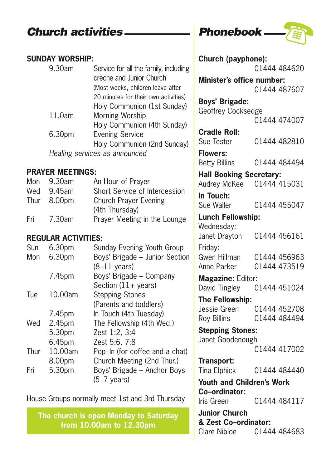### Church activities \_\_\_\_\_\_\_\_\_\_ Phonebook \_

#### **SUNDAY WORSHIP:**

| 9.30am | Service for all the family, including |
|--------|---------------------------------------|
|        | crèche and Junior Church              |
|        | (Most weeks, children leave after     |
|        | 20 minutes for their own activities)  |
|        | Holy Communion (1st Sunday)           |
| 11.0am | Morning Worship                       |
|        | Holy Communion (4th Sunday)           |
| 6.30pm | <b>Evening Service</b>                |
|        | Holy Communion (2nd Sunday)           |
|        | Healing services as announced         |

#### **PRAYER MEETINGS:**

|        | An Hour of Prayer             |
|--------|-------------------------------|
| 9.45am | Short Service of Intercession |
|        | Church Prayer Evening         |
|        | (4th Thursday)                |
| 7.30am | Prayer Meeting in the Lounge  |
|        | 9.30am<br>Thur 8.00pm         |

#### **REGULAR ACTIVITIES:**

| Sun        | 6.30pm             | Sunday Evening Youth Group     |
|------------|--------------------|--------------------------------|
| Mon        | 6.30pm             | Boys' Brigade - Junior Section |
|            |                    | $(8-11 \text{ years})$         |
|            | 7.45pm             | Boys' Brigade - Company        |
|            |                    | Section $(11 + \text{years})$  |
| <b>Tue</b> | 10.00am            | <b>Stepping Stones</b>         |
|            |                    | (Parents and toddlers)         |
|            | 7.45pm             | In Touch (4th Tuesday)         |
| Wed        | 2.45pm             | The Fellowship (4th Wed.)      |
|            | 5.30pm             | Zest 1:2, 3:4                  |
|            | 6.45 <sub>pm</sub> | Zest 5:6, 7:8                  |
| Thur       | 10.00am            | Pop-In (for coffee and a chat) |
|            | 8.00pm             | Church Meeting (2nd Thur.)     |
| Fri        | 5.30pm             | Boys' Brigade - Anchor Boys    |
|            |                    | (5–7 vears)                    |
|            |                    |                                |

House Groups normally meet 1st and 3rd Thursday

**The church is open Monday to Saturday from 10.00am to 12.30pm**



| Church (payphone):               |              |  |
|----------------------------------|--------------|--|
|                                  | 01444 484620 |  |
| <b>Minister's office number:</b> | 01444 487607 |  |
| <b>Boys' Brigade:</b>            |              |  |
| Geoffrey Cocksedge               |              |  |
|                                  | 01444 474007 |  |
| <b>Cradle Roll:</b>              |              |  |
| Sue Tester                       | 01444 482810 |  |
| <b>Flowers:</b>                  |              |  |
| <b>Betty Billins</b>             | 01444 484494 |  |
| <b>Hall Booking Secretary:</b>   |              |  |
| Audrey McKee                     | 01444 415031 |  |
| In Touch:                        |              |  |
| Sue Waller                       | 01444 455047 |  |
| <b>Lunch Fellowship:</b>         |              |  |
| Wednesday:                       |              |  |
| Janet Drayton                    | 01444 456161 |  |
| Friday:                          |              |  |
| Gwen Hillman                     | 01444 456963 |  |
| Anne Parker                      | 01444 473519 |  |
| Magazine: Editor:                |              |  |
| David Tingley                    | 01444 451024 |  |
| The Fellowship:                  |              |  |
| Jessie Green                     | 01444 452708 |  |
| <b>Roy Billins</b>               | 01444 484494 |  |
| <b>Stepping Stones:</b>          |              |  |
| Janet Goodenough                 |              |  |
|                                  | 01444 417002 |  |
| Transport:                       |              |  |
| Tina Elphick                     | 01444 484440 |  |
| Youth and Children's Work        |              |  |
| Co-ordinator:                    |              |  |
| Iris Green                       | 01444 484117 |  |
| <b>Junior Church</b>             |              |  |
| & Zest Co-ordinator:             |              |  |
| Clare Nibloe                     | 01444 484683 |  |